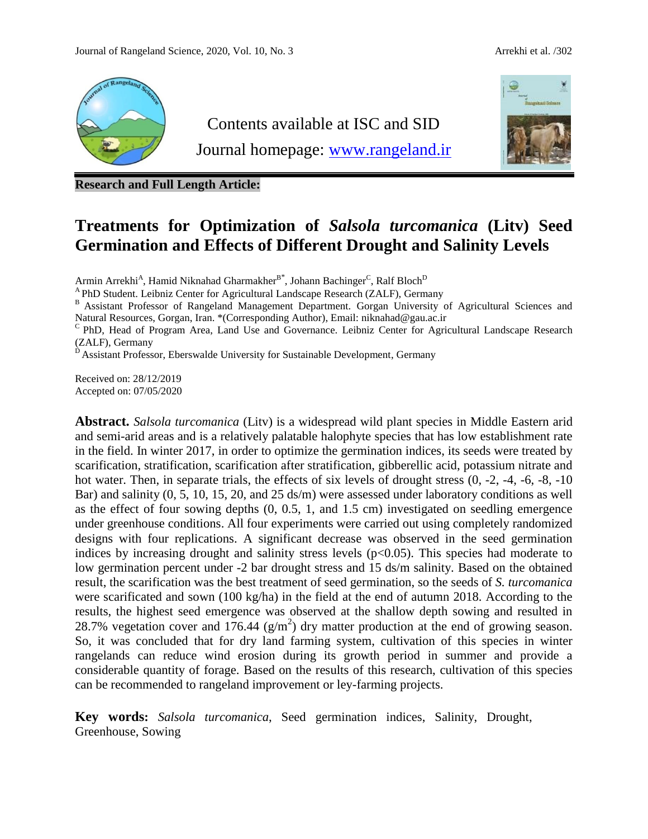

**Research and Full Length Article:**

# **Treatments for Optimization of** *Salsola turcomanica* **(Litv) Seed Germination and Effects of Different Drought and Salinity Levels**

Armin Arrekhi<sup>A</sup>, Hamid Niknahad Gharmakher<sup>B\*</sup>, Johann Bachinger<sup>C</sup>, Ralf Bloch<sup>D</sup>

<sup>A</sup>PhD Student. Leibniz Center for Agricultural Landscape Research (ZALF), Germany

B Assistant Professor of Rangeland Management Department. Gorgan University of Agricultural Sciences and Natural Resources, Gorgan, Iran. \*(Corresponding Author), Email[: niknahad@gau.ac.ir](mailto:niknahad@gau.ac.ir)

<sup>C</sup> PhD, Head of Program Area, Land Use and Governance. Leibniz Center for Agricultural Landscape Research (ZALF), Germany

<sup>D</sup> Assistant Professor, Eberswalde University for Sustainable Development, Germany

Received on: 28/12/2019 Accepted on: 07/05/2020

**Abstract.** *Salsola turcomanica* (Litv) is a widespread wild plant species in Middle Eastern arid and semi-arid areas and is a relatively palatable halophyte species that has low establishment rate in the field. In winter 2017, in order to optimize the germination indices, its seeds were treated by scarification, stratification, scarification after stratification, gibberellic acid, potassium nitrate and hot water. Then, in separate trials, the effects of six levels of drought stress  $(0, -2, -4, -6, -8, -10)$ Bar) and salinity (0, 5, 10, 15, 20, and 25 ds/m) were assessed under laboratory conditions as well as the effect of four sowing depths (0, 0.5, 1, and 1.5 cm) investigated on seedling emergence under greenhouse conditions. All four experiments were carried out using completely randomized designs with four replications. A significant decrease was observed in the seed germination indices by increasing drought and salinity stress levels  $(p<0.05)$ . This species had moderate to low germination percent under -2 bar drought stress and 15 ds/m salinity. Based on the obtained result, the scarification was the best treatment of seed germination, so the seeds of *S. turcomanica* were scarificated and sown (100 kg/ha) in the field at the end of autumn 2018. According to the results, the highest seed emergence was observed at the shallow depth sowing and resulted in 28.7% vegetation cover and 176.44  $(g/m^2)$  dry matter production at the end of growing season. So, it was concluded that for dry land farming system, cultivation of this species in winter rangelands can reduce wind erosion during its growth period in summer and provide a considerable quantity of forage. Based on the results of this research, cultivation of this species can be recommended to rangeland improvement or ley-farming projects.

**Key words:** *Salsola turcomanica*, Seed germination indices, Salinity, Drought, Greenhouse, Sowing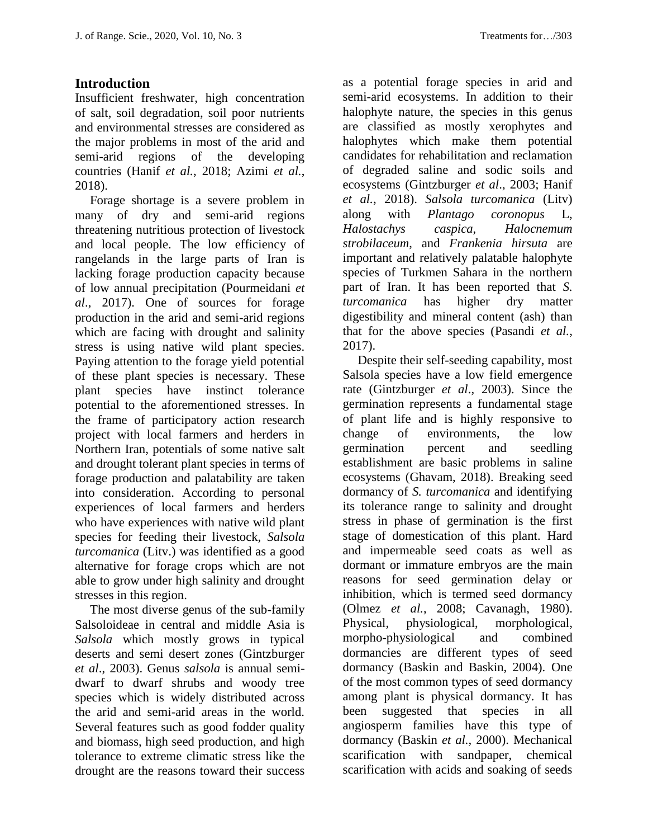## **Introduction**

Insufficient freshwater, high concentration of salt, soil degradation, soil poor nutrients and environmental stresses are considered as the major problems in most of the arid and semi-arid regions of the developing countries (Hanif *et al.*, 2018; Azimi *et al.*, 2018).

Forage shortage is a severe problem in many of dry and semi-arid regions threatening nutritious protection of livestock and local people. The low efficiency of rangelands in the large parts of Iran is lacking forage production capacity because of low annual precipitation (Pourmeidani *et al*., 2017). One of sources for forage production in the arid and semi-arid regions which are facing with drought and salinity stress is using native wild plant species. Paying attention to the forage yield potential of these plant species is necessary. These plant species have instinct tolerance potential to the aforementioned stresses. In the frame of participatory action research project with local farmers and herders in Northern Iran, potentials of some native salt and drought tolerant plant species in terms of forage production and palatability are taken into consideration. According to personal experiences of local farmers and herders who have experiences with native wild plant species for feeding their livestock, *Salsola turcomanica* (Litv.) was identified as a good alternative for forage crops which are not able to grow under high salinity and drought stresses in this region.

The most diverse genus of the sub-family Salsoloideae in central and middle Asia is *Salsola* which mostly grows in typical deserts and semi desert zones (Gintzburger *et al*., 2003). Genus *salsola* is annual semidwarf to dwarf shrubs and woody tree species which is widely distributed across the arid and semi-arid areas in the world. Several features such as good fodder quality and biomass, high seed production, and high tolerance to extreme climatic stress like the drought are the reasons toward their success

as a potential forage species in arid and semi-arid ecosystems. In addition to their halophyte nature, the species in this genus are classified as mostly xerophytes and halophytes which make them potential candidates for rehabilitation and reclamation of degraded saline and sodic soils and ecosystems (Gintzburger *et al*., 2003; Hanif *et al.*, 2018). *Salsola turcomanica* (Litv) along with *Plantago coronopus* L, *Halostachys caspica*, *Halocnemum strobilaceum*, and *Frankenia hirsuta* are important and relatively palatable halophyte species of Turkmen Sahara in the northern part of Iran. It has been reported that *S. turcomanica* has higher dry matter digestibility and mineral content (ash) than that for the above species (Pasandi *et al.*, 2017).

Despite their self-seeding capability, most Salsola species have a low field emergence rate (Gintzburger *et al*., 2003). Since the germination represents a fundamental stage of plant life and is highly responsive to change of environments, the low germination percent and seedling establishment are basic problems in saline ecosystems (Ghavam, 2018). Breaking seed dormancy of *S. turcomanica* and identifying its tolerance range to salinity and drought stress in phase of germination is the first stage of domestication of this plant. Hard and impermeable seed coats as well as dormant or immature embryos are the main reasons for seed germination delay or inhibition, which is termed seed dormancy (Olmez *et al.*, 2008; Cavanagh, 1980). Physical, physiological, morphological, morpho-physiological and combined dormancies are different types of seed dormancy (Baskin and Baskin, 2004). One of the most common types of seed dormancy among plant is physical dormancy. It has been suggested that species in all angiosperm families have this type of dormancy (Baskin *et al.,* 2000). Mechanical scarification with sandpaper, chemical scarification with acids and soaking of seeds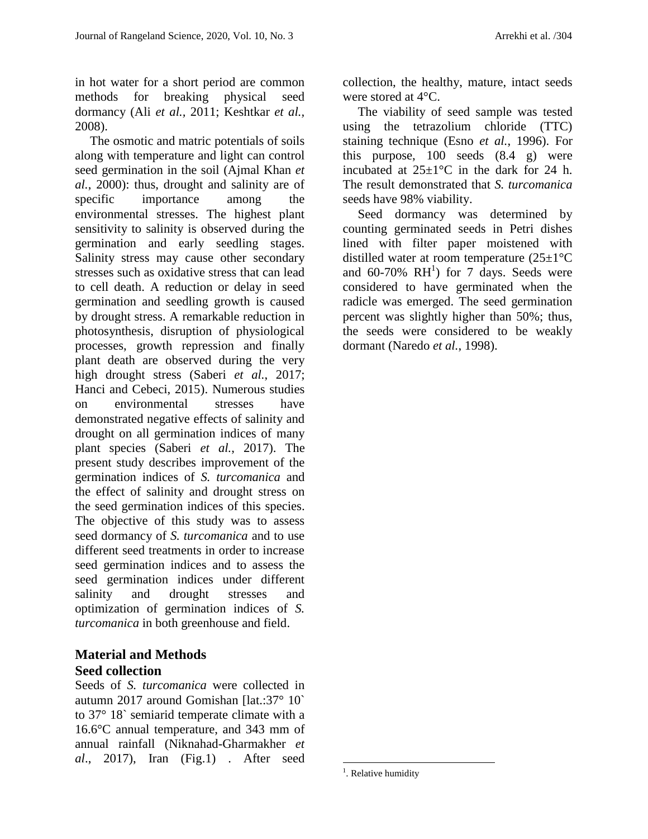in hot water for a short period are common methods for breaking physical seed dormancy (Ali *et al.,* 2011; Keshtkar *et al.,* 2008).

The osmotic and matric potentials of soils along with temperature and light can control seed germination in the soil (Ajmal Khan *et al.*, 2000): thus, drought and salinity are of specific importance among the environmental stresses. The highest plant sensitivity to salinity is observed during the germination and early seedling stages. Salinity stress may cause other secondary stresses such as oxidative stress that can lead to cell death. A reduction or delay in seed germination and seedling growth is caused by drought stress. A remarkable reduction in photosynthesis, disruption of physiological processes, growth repression and finally plant death are observed during the very high drought stress (Saberi *et al.*, 2017; Hanci and Cebeci, 2015). Numerous studies on environmental stresses have demonstrated negative effects of salinity and drought on all germination indices of many plant species (Saberi *et al.*, 2017). The present study describes improvement of the germination indices of *S. turcomanica* and the effect of salinity and drought stress on the seed germination indices of this species. The objective of this study was to assess seed dormancy of *S. turcomanica* and to use different seed treatments in order to increase seed germination indices and to assess the seed germination indices under different salinity and drought stresses and optimization of germination indices of *S. turcomanica* in both greenhouse and field.

#### **Material and Methods Seed collection**

Seeds of *S. turcomanica* were collected in autumn 2017 around Gomishan [lat.:37° 10` to 37° 18` semiarid temperate climate with a 16.6°C annual temperature, and 343 mm of annual rainfall (Niknahad-Gharmakher *et al*., 2017), Iran (Fig.1) . After seed

collection, the healthy, mature, intact seeds were stored at 4°C.

The viability of seed sample was tested using the tetrazolium chloride (TTC) staining technique (Esno *et al.*, 1996). For this purpose, 100 seeds (8.4 g) were incubated at  $25 \pm 1$ °C in the dark for 24 h. The result demonstrated that *S. turcomanica* seeds have 98% viability.

Seed dormancy was determined by counting germinated seeds in Petri dishes lined with filter paper moistened with distilled water at room temperature  $(25\pm1\,^{\circ}\mathrm{C})$ and  $60-70\%$   $RH<sup>1</sup>$ ) for 7 days. Seeds were considered to have germinated when the radicle was emerged. The seed germination percent was slightly higher than 50%; thus, the seeds were considered to be weakly dormant (Naredo *et al.*, 1998).

 $\overline{a}$ 

<sup>&</sup>lt;sup>1</sup>. Relative humidity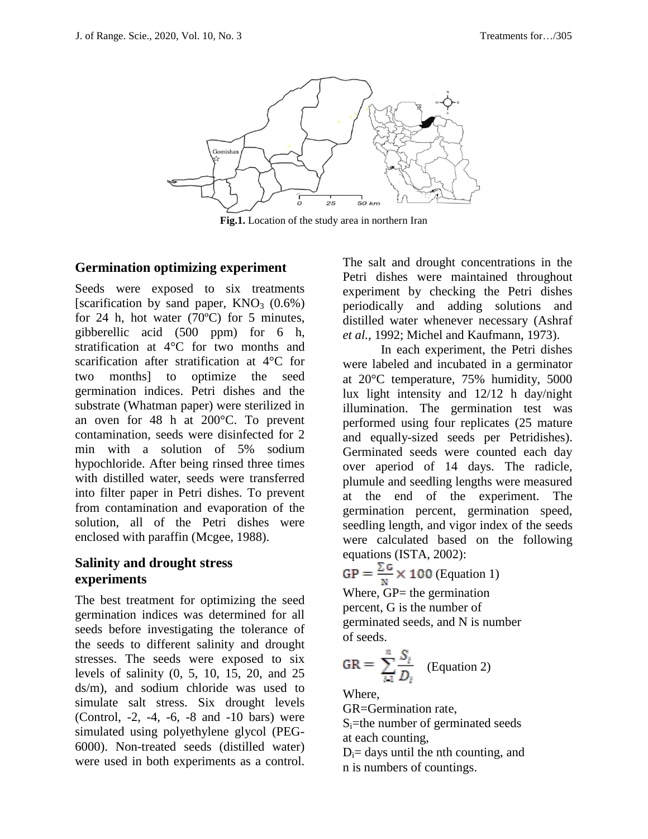

**Fig.1.** Location of the study area in northern Iran

#### **Germination optimizing experiment**

Seeds were exposed to six treatments [scarification by sand paper,  $KNO_3$  (0.6%) for 24 h, hot water  $(70^{\circ}$ C) for 5 minutes, gibberellic acid (500 ppm) for 6 h, stratification at 4°C for two months and scarification after stratification at 4°C for two months] to optimize the seed germination indices. Petri dishes and the substrate (Whatman paper) were sterilized in an oven for 48 h at 200°C. To prevent contamination, seeds were disinfected for 2 min with a solution of 5% sodium hypochloride. After being rinsed three times with distilled water, seeds were transferred into filter paper in Petri dishes. To prevent from contamination and evaporation of the solution, all of the Petri dishes were enclosed with paraffin (Mcgee, 1988).

#### **Salinity and drought stress experiments**

The best treatment for optimizing the seed germination indices was determined for all seeds before investigating the tolerance of the seeds to different salinity and drought stresses. The seeds were exposed to six levels of salinity (0, 5, 10, 15, 20, and 25 ds/m), and sodium chloride was used to simulate salt stress. Six drought levels (Control, -2, -4, -6, -8 and -10 bars) were simulated using polyethylene glycol (PEG-6000). Non-treated seeds (distilled water) were used in both experiments as a control.

The salt and drought concentrations in the Petri dishes were maintained throughout experiment by checking the Petri dishes periodically and adding solutions and distilled water whenever necessary (Ashraf *et al.,* 1992; Michel and Kaufmann, 1973).

In each experiment, the Petri dishes were labeled and incubated in a germinator at 20°C temperature, 75% humidity, 5000 lux light intensity and 12/12 h day/night illumination. The germination test was performed using four replicates (25 mature and equally-sized seeds per Petridishes). Germinated seeds were counted each day over aperiod of 14 days. The radicle, plumule and seedling lengths were measured at the end of the experiment. The germination percent, germination speed, seedling length, and vigor index of the seeds were calculated based on the following equations (ISTA, 2002):

$$
GP = \frac{\sum G}{N} \times 100
$$
 (Equation 1)  
Where, GP= the germination  
percent, G is the number of  
germinated seeds, and N is number

of seeds.

$$
GR = \sum_{i=1}^{n} \frac{S_i}{D_i}
$$
 (Equation 2)

Where,

GR=Germination rate,

 $S_i$ =the number of germinated seeds at each counting,

 $D_i$ = days until the nth counting, and n is numbers of countings.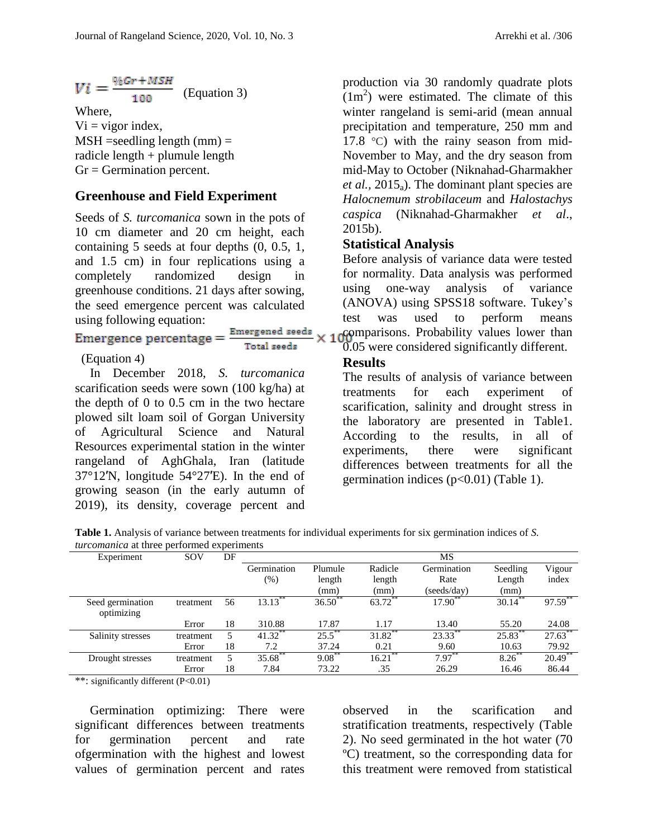$$
Vi = \frac{\%Gr + MSH}{100}
$$
 (Equation 3)

Where,  $Vi = vigor index$ ,  $MSH =$ seedling length (mm)  $=$ radicle length + plumule length  $Gr = Germanation percent.$ 

#### **Greenhouse and Field Experiment**

Seeds of *S. turcomanica* sown in the pots of 10 cm diameter and 20 cm height, each containing 5 seeds at four depths (0, 0.5, 1, and 1.5 cm) in four replications using a completely randomized design in greenhouse conditions. 21 days after sowing, the seed emergence percent was calculated using following equation:

# Emergence percentage =  $\frac{E_1}{E_2}$

$$
\frac{\text{mergened seeds}}{\text{Total seed}}
$$

#### (Equation 4)

In December 2018, *S. turcomanica* scarification seeds were sown (100 kg/ha) at the depth of 0 to 0.5 cm in the two hectare plowed silt loam soil of Gorgan University of Agricultural Science and Natural Resources experimental station in the winter rangeland of AghGhala, Iran (latitude 37°12′N, longitude 54°27′E). In the end of growing season (in the early autumn of 2019), its density, coverage percent and production via 30 randomly quadrate plots  $(1m<sup>2</sup>)$  were estimated. The climate of this winter rangeland is semi-arid (mean annual precipitation and temperature, 250 mm and 17.8 °C) with the rainy season from mid-November to May, and the dry season from mid-May to October (Niknahad-Gharmakher *et al.*,  $2015_a$ ). The dominant plant species are *Halocnemum strobilaceum* and *Halostachys caspica* (Niknahad-Gharmakher *et al*., 2015b).

#### **Statistical Analysis**

Before analysis of variance data were tested for normality. Data analysis was performed using one-way analysis of variance (ANOVA) using SPSS18 software. Tukey's test was used to perform means comparisons. Probability values lower than 0.05 were considered significantly different.

## **Results**

The results of analysis of variance between treatments for each experiment of scarification, salinity and drought stress in the laboratory are presented in Table1. According to the results, in all of experiments, there were significant differences between treatments for all the germination indices  $(p<0.01)$  (Table 1).

**Table 1.** Analysis of variance between treatments for individual experiments for six germination indices of *S. turcomanica* at three performed experiments

| Experiment        | SOV       | DF |             |            |                    | MS                |            |            |
|-------------------|-----------|----|-------------|------------|--------------------|-------------------|------------|------------|
|                   |           |    | Germination | Plumule    | Radicle            | Germination       | Seedling   | Vigour     |
|                   |           |    | $(\%)$      | length     | length             | Rate              | Length     | index      |
|                   |           |    |             | (mm)       | (mm)               | (seeds/day)       | (mm)       |            |
| Seed germination  | treatment | 56 | $13.13***$  | $36.50$ ** | $63.72$ **         | $17.90**$         | $30.14$ ** | $97.59***$ |
| optimizing        |           |    |             |            |                    |                   |            |            |
|                   | Error     | 18 | 310.88      | 17.87      | 1.17               | 13.40             | 55.20      | 24.08      |
| Salinity stresses | treatment | 5  | 41.32       | 25.5       | 31.82 <sup>*</sup> | $23.33^{\degree}$ | $25.83^*$  | 27.63      |
|                   | Error     | 18 | 7.2         | 37.24      | 0.21               | 9.60              | 10.63      | 79.92      |
| Drought stresses  | treatment | 5  | 35.68**     | $9.08***$  | $16.21***$         | $7.97***$         | 8.26       | $20.49$ ** |
|                   | Error     | 18 | 7.84        | 73.22      | .35                | 26.29             | 16.46      | 86.44      |

\*\*: significantly different (P<0.01)

Germination optimizing: There were significant differences between treatments for germination percent and rate ofgermination with the highest and lowest values of germination percent and rates

observed in the scarification and stratification treatments, respectively (Table 2). No seed germinated in the hot water (70 ºC) treatment, so the corresponding data for this treatment were removed from statistical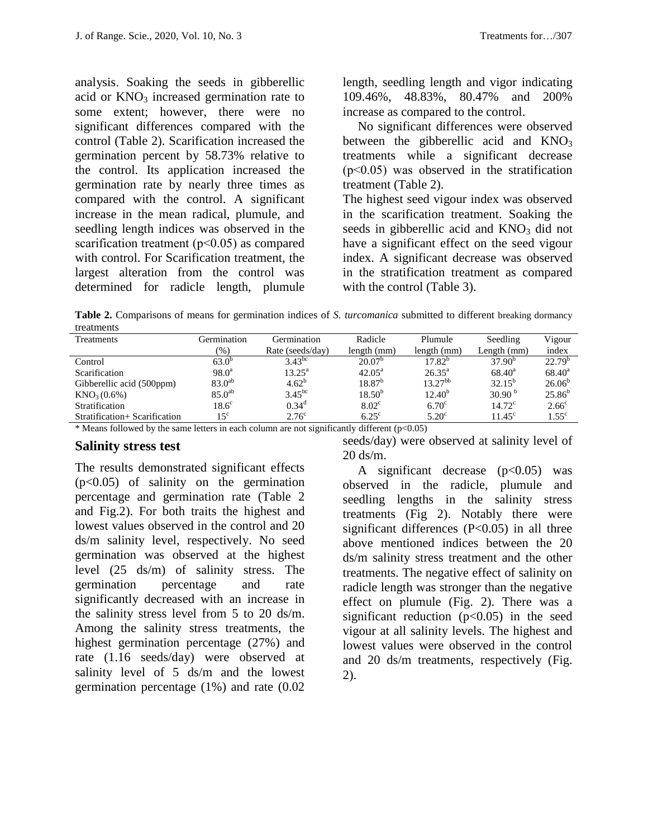analysis. Soaking the seeds in gibberellic acid or  $KNO<sub>3</sub>$  increased germination rate to some extent; however, there were no significant differences compared with the control (Table 2). Scarification increased the germination percent by 58.73% relative to the control. Its application increased the germination rate by nearly three times as compared with the control. A significant increase in the mean radical, plumule, and seedling length indices was observed in the scarification treatment ( $p<0.05$ ) as compared with control. For Scarification treatment, the largest alteration from the control was determined for radicle length, plumule

length, seedling length and vigor indicating 109.46%, 48.83%, 80.47% and 200% increase as compared to the control.

No significant differences were observed between the gibberellic acid and  $KNO<sub>3</sub>$ treatments while a significant decrease (p˂0.05) was observed in the stratification treatment (Table 2).

The highest seed vigour index was observed in the scarification treatment. Soaking the seeds in gibberellic acid and  $KNO<sub>3</sub>$  did not have a significant effect on the seed vigour index. A significant decrease was observed in the stratification treatment as compared with the control (Table 3).

**Table 2.** Comparisons of means for germination indices of *S. turcomanica* submitted to different breaking dormancy treatments

| <b>Treatments</b>             | Germination    | Germination       | Radicle           | Plumule         | Seedling           | Vigour            |
|-------------------------------|----------------|-------------------|-------------------|-----------------|--------------------|-------------------|
|                               | $(\%)$         | Rate (seeds/day)  | length (mm)       | length (mm)     | Length (mm)        | index             |
| Control                       | $63.0^{\circ}$ | $3.43^{bc}$       | $20.07^{\circ}$   | $17.82^{\circ}$ | $37.90^{b}$        | $22.79^{b}$       |
| Scarification                 | $98.0^a$       | $13.25^{\rm a}$   | $42.05^{\rm a}$   | $26.35^{\circ}$ | $68.40^a$          | $68.40^{\rm a}$   |
| Gibberellic acid (500ppm)     | $83.0^{ab}$    | $4.62^b$          | $18.87^{b}$       | $13.27^{bb}$    | $32.15^{b}$        | $26.06^{b}$       |
| KNO <sub>3</sub> (0.6%)       | $85.0^{ab}$    | $3.45^{bc}$       | $18.50^{b}$       | $12.40^{b}$     | 30.90 <sup>b</sup> | $25.86^{b}$       |
| Stratification                | $18.6^{\circ}$ | $0.34^d$          | 8.02 <sup>c</sup> | $6.70^\circ$    | $14.72^{\circ}$    | 2.66 <sup>c</sup> |
| Stratification+ Scarification | $15^{\circ}$   | 2.76 <sup>c</sup> | $6.25^{\circ}$    | $5.20^{\circ}$  | $11.45^{\circ}$    | $1.55^{\circ}$    |

\* Means followed by the same letters in each column are not significantly different  $(p<0.05)$ 

#### **Salinity stress test**

The results demonstrated significant effects (p<0.05) of salinity on the germination percentage and germination rate (Table 2 and Fig.2). For both traits the highest and lowest values observed in the control and 20 ds/m salinity level, respectively. No seed germination was observed at the highest level (25 ds/m) of salinity stress. The germination percentage and rate significantly decreased with an increase in the salinity stress level from 5 to 20 ds/m. Among the salinity stress treatments, the highest germination percentage (27%) and rate (1.16 seeds/day) were observed at salinity level of 5 ds/m and the lowest germination percentage (1%) and rate (0.02

seeds/day) were observed at salinity level of 20 ds/m.

A significant decrease  $(p<0.05)$  was observed in the radicle, plumule and seedling lengths in the salinity stress treatments (Fig 2). Notably there were significant differences  $(P<0.05)$  in all three above mentioned indices between the 20 ds/m salinity stress treatment and the other treatments. The negative effect of salinity on radicle length was stronger than the negative effect on plumule (Fig. 2). There was a significant reduction  $(p<0.05)$  in the seed vigour at all salinity levels. The highest and lowest values were observed in the control and 20 ds/m treatments, respectively (Fig. 2).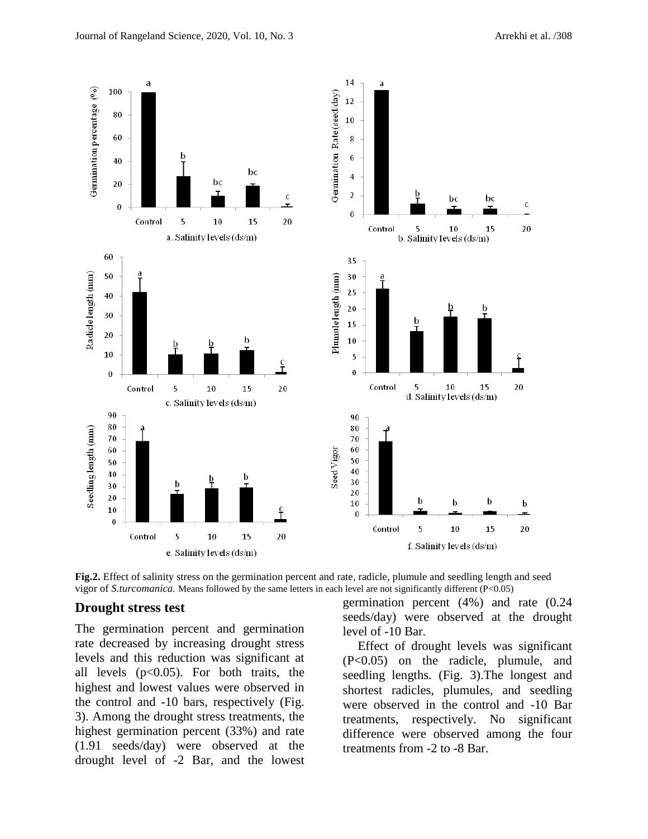

**Fig.2.** Effect of salinity stress on the germination percent and rate, radicle, plumule and seedling length and seed vigor of *S.turcomanica.* Means followed by the same letters in each level are not significantly different (P<0.05)

#### **Drought stress test**

The germination percent and germination rate decreased by increasing drought stress levels and this reduction was significant at all levels  $(p<0.05)$ . For both traits, the highest and lowest values were observed in the control and -10 bars, respectively (Fig. 3). Among the drought stress treatments, the highest germination percent (33%) and rate (1.91 seeds/day) were observed at the drought level of -2 Bar, and the lowest germination percent (4%) and rate (0.24 seeds/day) were observed at the drought level of -10 Bar.

Effect of drought levels was significant (P<0.05) on the radicle, plumule, and seedling lengths. (Fig. 3).The longest and shortest radicles, plumules, and seedling were observed in the control and -10 Bar treatments, respectively. No significant difference were observed among the four treatments from -2 to -8 Bar.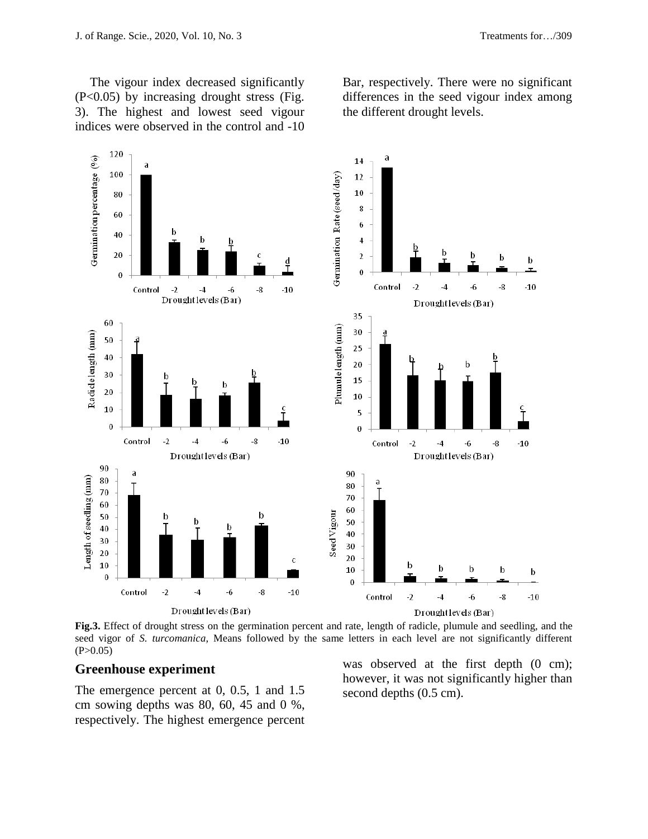The vigour index decreased significantly (P<0.05) by increasing drought stress (Fig. 3). The highest and lowest seed vigour indices were observed in the control and -10 Bar, respectively. There were no significant differences in the seed vigour index among the different drought levels.



**Fig.3.** Effect of drought stress on the germination percent and rate, length of radicle, plumule and seedling, and the seed vigor of *S. turcomanica*, Means followed by the same letters in each level are not significantly different  $(P>0.05)$ 

#### **Greenhouse experiment**

The emergence percent at 0, 0.5, 1 and 1.5 cm sowing depths was 80, 60, 45 and 0 %, respectively. The highest emergence percent was observed at the first depth  $(0 \text{ cm})$ ; however, it was not significantly higher than second depths (0.5 cm).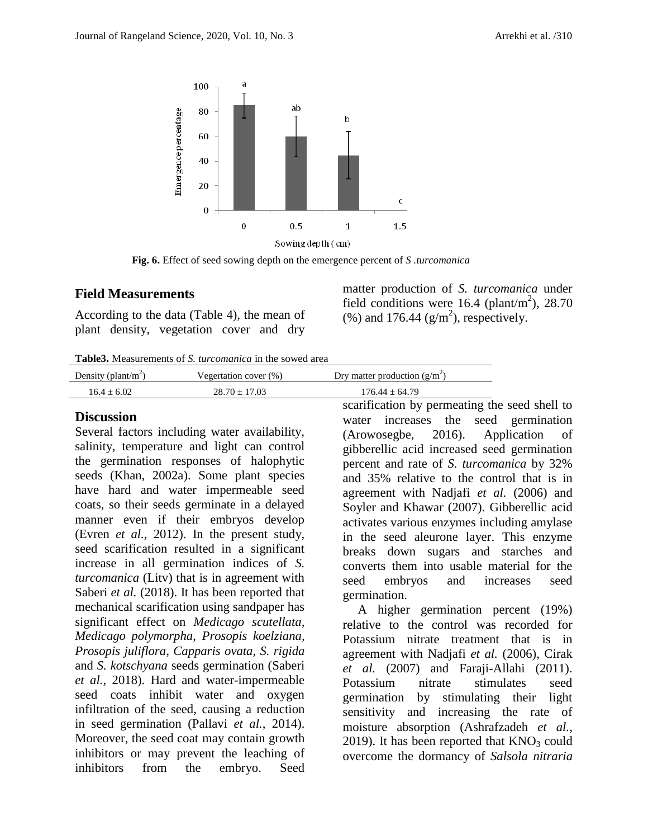

**Fig. 6.** Effect of seed sowing depth on the emergence percent of *S .turcomanica*

#### **Field Measurements**

According to the data (Table 4), the mean of plant density, vegetation cover and dry

matter production of *S. turcomanica* under field conditions were  $16.4$  (plant/m<sup>2</sup>), 28.70 (%) and 176.44 ( $g/m<sup>2</sup>$ ), respectively.

**Table3.** Measurements of *S. turcomanica* in the sowed area

| Density (plant/m <sup>2</sup> ) | Vegertation cover $(\%)$ | Dry matter production $(g/m^2)$ |
|---------------------------------|--------------------------|---------------------------------|
| $16.4 + 6.02$                   | $28.70 + 17.03$          | $176.44 + 64.79$                |

#### **Discussion**

Several factors including water availability, salinity, temperature and light can control the germination responses of halophytic seeds (Khan, 2002a). Some plant species have hard and water impermeable seed coats, so their seeds germinate in a delayed manner even if their embryos develop (Evren *et al.,* 2012). In the present study, seed scarification resulted in a significant increase in all germination indices of *S. turcomanica* (Litv) that is in agreement with Saberi *et al.* (2018). It has been reported that mechanical scarification using sandpaper has significant effect on *Medicago scutellata, Medicago polymorpha*, *Prosopis koelziana, Prosopis juliflora*, *Capparis ovata*, *S. rigida* and *S. kotschyana* seeds germination (Saberi *et al.,* 2018). Hard and water-impermeable seed coats inhibit water and oxygen infiltration of the seed, causing a reduction in seed germination (Pallavi *et al.*, 2014). Moreover, the seed coat may contain growth inhibitors or may prevent the leaching of inhibitors from the embryo. Seed

scarification by permeating the seed shell to water increases the seed germination (Arowosegbe, 2016). Application of gibberellic acid increased seed germination percent and rate of *S. turcomanica* by 32% and 35% relative to the control that is in agreement with Nadjafi *et al.* (2006) and Soyler and Khawar (2007). Gibberellic acid activates various enzymes including amylase in the seed aleurone layer. This enzyme breaks down sugars and starches and converts them into usable material for the seed embryos and increases seed germination.

A higher germination percent (19%) relative to the control was recorded for Potassium nitrate treatment that is in agreement with Nadjafi *et al.* (2006), Cirak *et al.* (2007) and Faraji-Allahi (2011). Potassium nitrate stimulates seed germination by stimulating their light sensitivity and increasing the rate of moisture absorption (Ashrafzadeh *et al.*, 2019). It has been reported that  $KNO<sub>3</sub>$  could overcome the dormancy of *Salsola nitraria*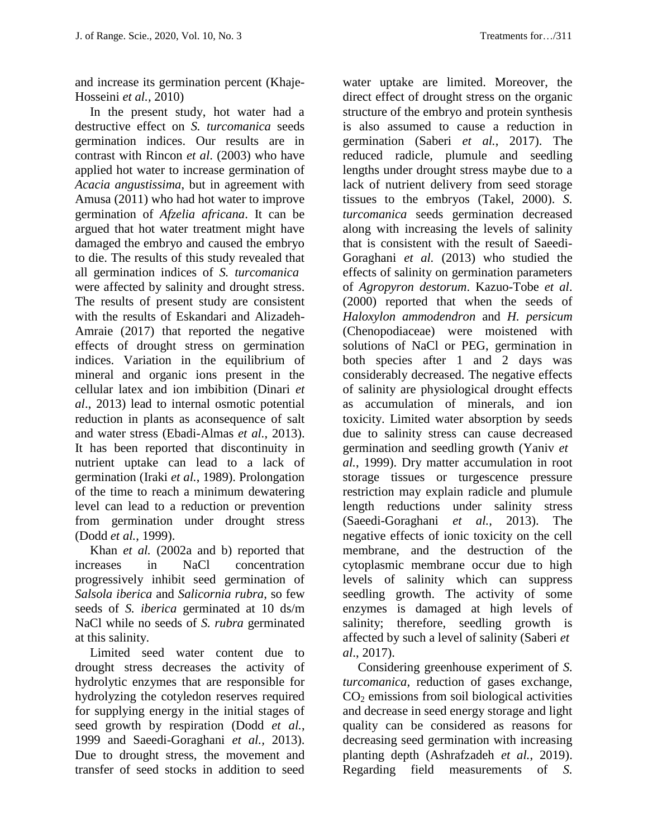and increase its germination percent (Khaje-Hosseini *et al.,* 2010)

In the present study, hot water had a destructive effect on *S. turcomanica* seeds germination indices. Our results are in contrast with Rincon *et al*. (2003) who have applied hot water to increase germination of *Acacia angustissima*, but in agreement with Amusa (2011) who had hot water to improve germination of *Afzelia africana*. It can be argued that hot water treatment might have damaged the embryo and caused the embryo to die. The results of this study revealed that all germination indices of *S. turcomanica* were affected by salinity and drought stress. The results of present study are consistent with the results of Eskandari and Alizadeh-Amraie (2017) that reported the negative effects of drought stress on germination indices. Variation in the equilibrium of mineral and organic ions present in the cellular latex and ion imbibition (Dinari *et al*., 2013) lead to internal osmotic potential reduction in plants as aconsequence of salt and water stress (Ebadi-Almas *et al.*, 2013). It has been reported that discontinuity in nutrient uptake can lead to a lack of germination (Iraki *et al.*, 1989). Prolongation of the time to reach a minimum dewatering level can lead to a reduction or prevention from germination under drought stress (Dodd *et al.*, 1999).

Khan *et al.* (2002a and b) reported that increases in NaCl concentration progressively inhibit seed germination of *Salsola iberica* and *Salicornia rubra*, so few seeds of *S. iberica* germinated at 10 ds/m NaCl while no seeds of *S. rubra* germinated at this salinity.

Limited seed water content due to drought stress decreases the activity of hydrolytic enzymes that are responsible for hydrolyzing the cotyledon reserves required for supplying energy in the initial stages of seed growth by respiration (Dodd *et al.*, 1999 and Saeedi-Goraghani *et al.,* 2013). Due to drought stress, the movement and transfer of seed stocks in addition to seed

water uptake are limited. Moreover, the direct effect of drought stress on the organic structure of the embryo and protein synthesis is also assumed to cause a reduction in germination (Saberi *et al.*, 2017). The reduced radicle, plumule and seedling lengths under drought stress maybe due to a lack of nutrient delivery from seed storage tissues to the embryos (Takel, 2000). *S. turcomanica* seeds germination decreased along with increasing the levels of salinity that is consistent with the result of Saeedi-Goraghani *et al.* (2013) who studied the effects of salinity on germination parameters of *Agropyron destorum*. Kazuo-Tobe *et al*. (2000) reported that when the seeds of *Haloxylon ammodendron* and *H. persicum* (Chenopodiaceae) were moistened with solutions of NaCl or PEG, germination in both species after 1 and 2 days was considerably decreased. The negative effects of salinity are physiological drought effects as accumulation of minerals, and ion toxicity. Limited water absorption by seeds due to salinity stress can cause decreased germination and seedling growth (Yaniv *et al.*, 1999). Dry matter accumulation in root storage tissues or turgescence pressure restriction may explain radicle and plumule length reductions under salinity stress (Saeedi-Goraghani *et al.*, 2013). The negative effects of ionic toxicity on the cell membrane, and the destruction of the cytoplasmic membrane occur due to high levels of salinity which can suppress seedling growth. The activity of some enzymes is damaged at high levels of salinity; therefore, seedling growth is affected by such a level of salinity (Saberi *et al*., 2017).

Considering greenhouse experiment of *S. turcomanica*, reduction of gases exchange,  $CO<sub>2</sub>$  emissions from soil biological activities and decrease in seed energy storage and light quality can be considered as reasons for decreasing seed germination with increasing planting depth (Ashrafzadeh *et al.*, 2019). Regarding field measurements of *S.*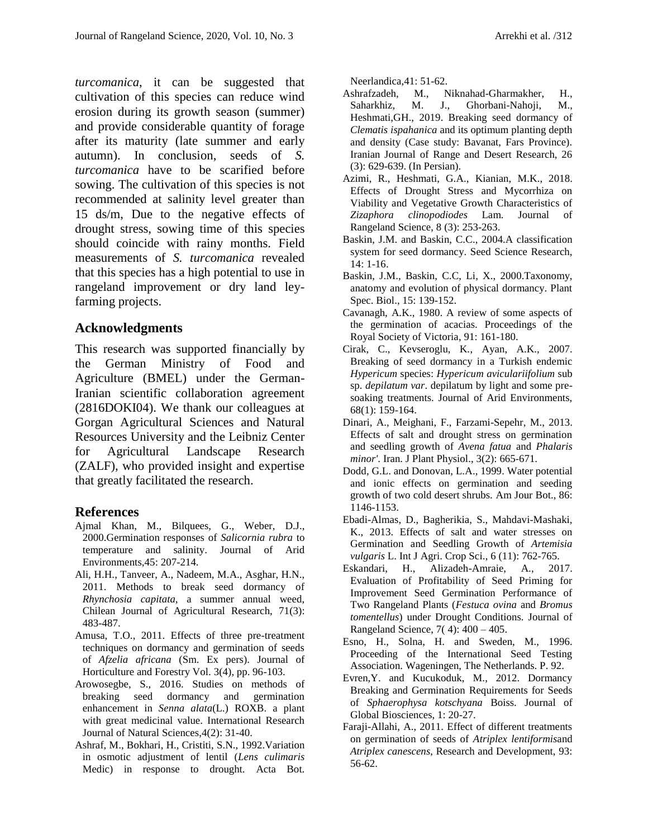*turcomanica*, it can be suggested that cultivation of this species can reduce wind erosion during its growth season (summer) and provide considerable quantity of forage after its maturity (late summer and early autumn). In conclusion, seeds of *S. turcomanica* have to be scarified before sowing. The cultivation of this species is not recommended at salinity level greater than 15 ds/m, Due to the negative effects of drought stress, sowing time of this species should coincide with rainy months. Field measurements of *S. turcomanica* revealed that this species has a high potential to use in rangeland improvement or dry land leyfarming projects.

#### **Acknowledgments**

This research was supported financially by the German Ministry of Food and Agriculture (BMEL) under the German-Iranian scientific collaboration agreement (2816DOKI04). We thank our colleagues at Gorgan Agricultural Sciences and Natural Resources University and the Leibniz Center for Agricultural Landscape Research (ZALF), who provided insight and expertise that greatly facilitated the research.

#### **References**

- Ajmal Khan, M., Bilquees, G., Weber, D.J., 2000.Germination responses of *Salicornia rubra* to temperature and salinity. Journal of Arid Environments,45: 207-214.
- Ali, H.H., Tanveer, A., Nadeem, M.A., Asghar, H.N., 2011. Methods to break seed dormancy of *Rhynchosia capitata*, a summer annual weed, Chilean Journal of Agricultural Research, 71(3): 483-487.
- Amusa, T.O., 2011. Effects of three pre-treatment techniques on dormancy and germination of seeds of *Afzelia africana* (Sm. Ex pers). Journal of Horticulture and Forestry Vol. 3(4), pp. 96-103.
- Arowosegbe, S., 2016. Studies on methods of breaking seed dormancy and germination enhancement in *Senna alata*(L.) ROXB. a plant with great medicinal value. International Research Journal of Natural Sciences,4(2): 31-40.
- Ashraf, M., Bokhari, H., Cristiti, S.N., 1992.Variation in osmotic adjustment of lentil (*Lens culimaris* Medic) in response to drought. Acta Bot.

Neerlandica,41: 51-62.

- Ashrafzadeh, M., Niknahad-Gharmakher, H., Saharkhiz, M. J., Ghorbani-Nahoji, M., Heshmati,GH., 2019. Breaking seed dormancy of *Clematis ispahanica* and its optimum planting depth and density (Case study: Bavanat, Fars Province). Iranian Journal of Range and Desert Research, 26 (3): 629-639. (In Persian).
- Azimi, R., Heshmati, G.A., Kianian, M.K., 2018. Effects of Drought Stress and Mycorrhiza on Viability and Vegetative Growth Characteristics of *Zizaphora clinopodiodes* Lam. Journal of Rangeland Science, 8 (3): 253-263.
- Baskin, J.M. and Baskin, C.C., 2004.A classification system for seed dormancy. Seed Science Research, 14: 1-16.
- Baskin, J.M., Baskin, C.C, Li, X., 2000.Taxonomy, anatomy and evolution of physical dormancy. Plant Spec. Biol., 15: 139-152.
- Cavanagh, A.K., 1980. A review of some aspects of the germination of acacias. Proceedings of the Royal Society of Victoria, 91: 161-180.
- Cirak, C., Kevseroglu, K., Ayan, A.K., 2007. Breaking of seed dormancy in a Turkish endemic *Hypericum* species: *Hypericum aviculariifolium* sub sp. *depilatum var*. depilatum by light and some presoaking treatments. Journal of Arid Environments, 68(1): 159-164.
- Dinari, A., Meighani, F., Farzami-Sepehr, M., 2013. Effects of salt and drought stress on germination and seedling growth of *Avena fatua* and *Phalaris minor'*. Iran. J Plant Physiol., 3(2): 665-671.
- Dodd, G.L. and Donovan, L.A., 1999. Water potential and ionic effects on germination and seeding growth of two cold desert shrubs. Am Jour Bot., 86: 1146-1153.
- Ebadi-Almas, D., Bagherikia, S., Mahdavi-Mashaki, K., 2013. Effects of salt and water stresses on Germination and Seedling Growth of *Artemisia vulgaris* L. Int J Agri. Crop Sci., 6 (11): 762-765.
- Eskandari, H., Alizadeh-Amraie, A., 2017. Evaluation of Profitability of Seed Priming for Improvement Seed Germination Performance of Two Rangeland Plants (*Festuca ovina* and *Bromus tomentellus*) under Drought Conditions. Journal of Rangeland Science, 7( 4): 400 – 405.
- Esno, H., Solna, H. and Sweden, M., 1996. Proceeding of the International Seed Testing Association. Wageningen, The Netherlands. P. 92.
- Evren,Y. and Kucukoduk, M., 2012. Dormancy Breaking and Germination Requirements for Seeds of *Sphaerophysa kotschyana* Boiss. Journal of Global Biosciences, 1: 20-27.
- Faraji-Allahi, A., 2011. Effect of different treatments on germination of seeds of *Atriplex lentiformis*and *Atriplex canescens*, Research and Development, 93: 56-62.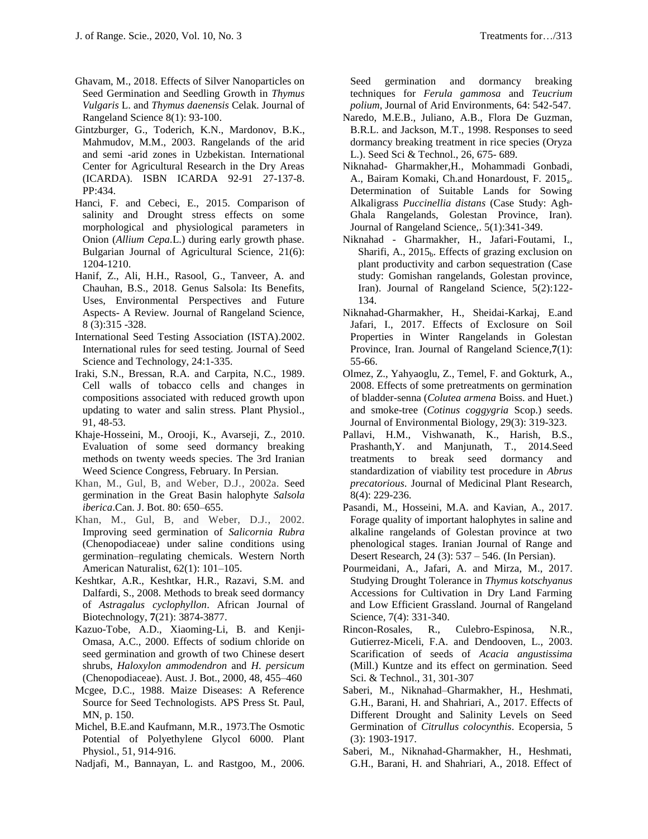- Ghavam, M., 2018. Effects of Silver Nanoparticles on Seed Germination and Seedling Growth in *Thymus Vulgaris* L. and *Thymus daenensis* Celak. Journal of Rangeland Science 8(1): 93-100.
- Gintzburger, G., Toderich, K.N., Mardonov, B.K., Mahmudov, M.M., 2003. Rangelands of the arid and semi -arid zones in Uzbekistan. International Center for Agricultural Research in the Dry Areas (ICARDA). ISBN ICARDA 92-91 27-137-8. PP:434.
- Hanci, F. and Cebeci, E., 2015. Comparison of salinity and Drought stress effects on some morphological and physiological parameters in Onion (*Allium Cepa.*L.) during early growth phase. Bulgarian Journal of Agricultural Science, 21(6): 1204-1210.
- Hanif, Z., Ali, H.H., Rasool, G., Tanveer, A. and Chauhan, B.S., 2018. Genus Salsola: Its Benefits, Uses, Environmental Perspectives and Future Aspects- A Review. Journal of Rangeland Science, 8 (3):315 -328.
- International Seed Testing Association (ISTA).2002. International rules for seed testing. Journal of Seed Science and Technology, 24:1-335.
- Iraki, S.N., Bressan, R.A. and Carpita, N.C., 1989. Cell walls of tobacco cells and changes in compositions associated with reduced growth upon updating to water and salin stress. Plant Physiol., 91, 48-53.
- Khaje-Hosseini, M., Orooji, K., Avarseji, Z., 2010. Evaluation of some seed dormancy breaking methods on twenty weeds species. The 3rd Iranian Weed Science Congress, February. In Persian.
- Khan, M., Gul, B, and Weber, D.J., 2002a. Seed germination in the Great Basin halophyte *Salsola iberica*.Can. J. Bot. 80: 650–655.
- Khan, M., Gul, B, and Weber, D.J., 2002. Improving seed germination of *Salicornia Rubra* (Chenopodiaceae) under saline conditions using germination–regulating chemicals. Western North American Naturalist, 62(1): 101–105.
- Keshtkar, A.R., Keshtkar, H.R., Razavi, S.M. and Dalfardi, S., 2008. Methods to break seed dormancy of *Astragalus cyclophyllon*. African Journal of Biotechnology, **7**(21): 3874-3877.
- Kazuo-Tobe, A.D., Xiaoming-Li, B. and Kenji-Omasa, A.C., 2000. Effects of sodium chloride on seed germination and growth of two Chinese desert shrubs, *Haloxylon ammodendron* and *H. persicum* (Chenopodiaceae). Aust. J. Bot., 2000, 48, 455–460
- Mcgee, D.C., 1988. Maize Diseases: A Reference Source for Seed Technologists. APS Press St. Paul, MN, p. 150.
- Michel, B.E.and Kaufmann, M.R., 1973.The Osmotic Potential of Polyethylene Glycol 6000. Plant Physiol., 51, 914-916.
- Nadjafi, M., Bannayan, L. and Rastgoo, M., 2006.

Seed germination and dormancy breaking techniques for *Ferula gammosa* and *Teucrium polium*, Journal of Arid Environments, 64: 542-547.

- Naredo, M.E.B., Juliano, A.B., Flora De Guzman, B.R.L. and Jackson, M.T., 1998. Responses to seed dormancy breaking treatment in rice species (Oryza L.). Seed Sci & Technol., 26, 675- 689.
- Niknahad- Gharmakher,H., Mohammadi Gonbadi, A., Bairam Komaki, Ch.and Honardoust, F. 2015<sub>a</sub>. Determination of Suitable Lands for Sowing Alkaligrass *Puccinellia distans* (Case Study: Agh-Ghala Rangelands, Golestan Province, Iran). Journal of Rangeland Science,. 5(1):341-349.
- Niknahad Gharmakher, H., Jafari-Foutami, I., Sharifi, A.,  $2015<sub>b</sub>$ . Effects of grazing exclusion on [plant productivity and carbon sequestration \(Case](javascript:void(0))  [study: Gomishan rangelands, Golestan province,](javascript:void(0))  [Iran\).](javascript:void(0)) Journal of Rangeland Science, 5(2):122- 134.
- Niknahad-Gharmakher, H., Sheidai-Karkaj, E.and Jafari, I., 2017. Effects of Exclosure on Soil Properties in Winter Rangelands in Golestan Province, Iran. Journal of Rangeland Science,**7**(1): 55-66.
- Olmez, Z., Yahyaoglu, Z., Temel, F. and Gokturk, A., 2008. Effects of some pretreatments on germination of bladder-senna (*Colutea armena* Boiss. and Huet.) and smoke-tree (*Cotinus coggygria* Scop.) seeds. Journal of Environmental Biology, 29(3): 319-323.
- Pallavi, H.M., Vishwanath, K., Harish, B.S., Prashanth,Y. and Manjunath, T., 2014.Seed treatments to break seed dormancy and standardization of viability test procedure in *Abrus precatorious*. Journal of Medicinal Plant Research, 8(4): 229-236.
- Pasandi, M., Hosseini, M.A. and Kavian, A., 2017. Forage quality of important halophytes in saline and alkaline rangelands of Golestan province at two phenological stages. Iranian Journal of Range and Desert Research, 24 (3): 537 – 546. (In Persian).
- Pourmeidani, A., Jafari, A. and Mirza, M., 2017. Studying Drought Tolerance in *Thymus kotschyanus* Accessions for Cultivation in Dry Land Farming and Low Efficient Grassland. Journal of Rangeland Science, 7(4): 331-340.
- Rincon-Rosales, R., Culebro-Espinosa, N.R., Gutierrez-Miceli, F.A. and Dendooven, L., 2003. Scarification of seeds of *Acacia angustissima* (Mill.) Kuntze and its effect on germination. Seed Sci. & Technol., 31, 301-307
- Saberi, M., Niknahad–Gharmakher, H., Heshmati, G.H., Barani, H. and Shahriari, A., 2017. Effects of Different Drought and Salinity Levels on Seed Germination of *Citrullus colocynthis*. Ecopersia, 5 (3): 1903-1917.
- Saberi, M., Niknahad-Gharmakher, H., Heshmati, G.H., Barani, H. and Shahriari, A., 2018. Effect of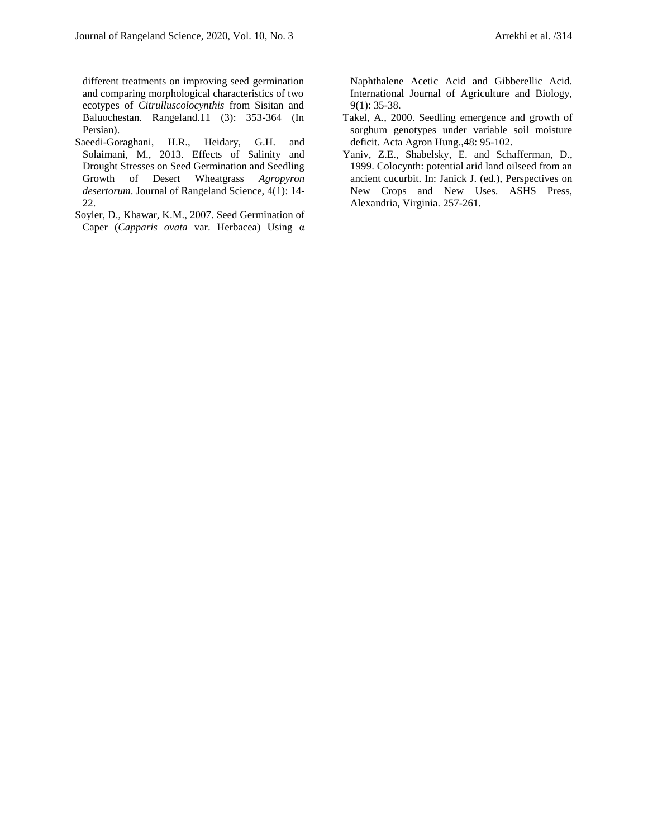different treatments on improving seed germination and comparing morphological characteristics of two ecotypes of *Citrulluscolocynthis* from Sisitan and Baluochestan. Rangeland.11 (3): 353-364 (In Persian).

- Saeedi-Goraghani, H.R., Heidary, G.H. and Solaimani, M., 2013. Effects of Salinity and Drought Stresses on Seed Germination and Seedling Growth of Desert Wheatgrass *Agropyron desertorum*. Journal of Rangeland Science, 4(1): 14- 22.
- Soyler, D., Khawar, K.M., 2007. Seed Germination of Caper (*Capparis ovata* var. Herbacea) Using α

Naphthalene Acetic Acid and Gibberellic Acid. International Journal of Agriculture and Biology, 9(1): 35-38.

- Takel, A., 2000. Seedling emergence and growth of sorghum genotypes under variable soil moisture deficit. Acta Agron Hung.,48: 95-102.
- Yaniv, Z.E., Shabelsky, E. and Schafferman, D., 1999. Colocynth: potential arid land oilseed from an ancient cucurbit. In: Janick J. (ed.), Perspectives on New Crops and New Uses. ASHS Press, Alexandria, Virginia. 257-261.